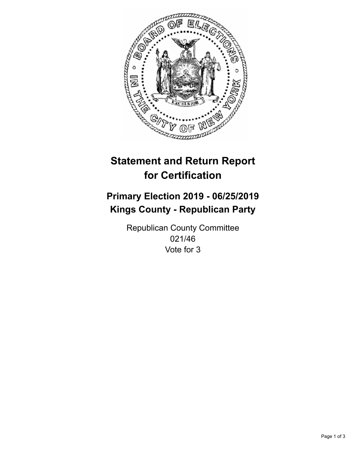

## **Statement and Return Report for Certification**

## **Primary Election 2019 - 06/25/2019 Kings County - Republican Party**

Republican County Committee 021/46 Vote for 3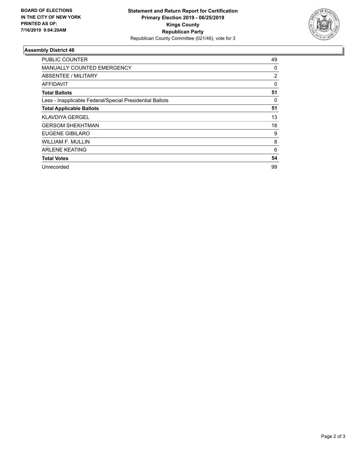

## **Assembly District 46**

| <b>PUBLIC COUNTER</b>                                    | 49 |
|----------------------------------------------------------|----|
| MANUALLY COUNTED EMERGENCY                               | 0  |
| ABSENTEE / MILITARY                                      | 2  |
| AFFIDAVIT                                                | 0  |
| <b>Total Ballots</b>                                     | 51 |
| Less - Inapplicable Federal/Special Presidential Ballots | 0  |
| <b>Total Applicable Ballots</b>                          | 51 |
| <b>KLAVDIYA GERGEL</b>                                   | 13 |
| <b>GERSOM SHEKHTMAN</b>                                  | 18 |
| EUGENE GIBILARO                                          | 9  |
| <b>WILLIAM F. MULLIN</b>                                 | 8  |
| <b>ARLENE KEATING</b>                                    | 6  |
| <b>Total Votes</b>                                       | 54 |
| Unrecorded                                               | 99 |